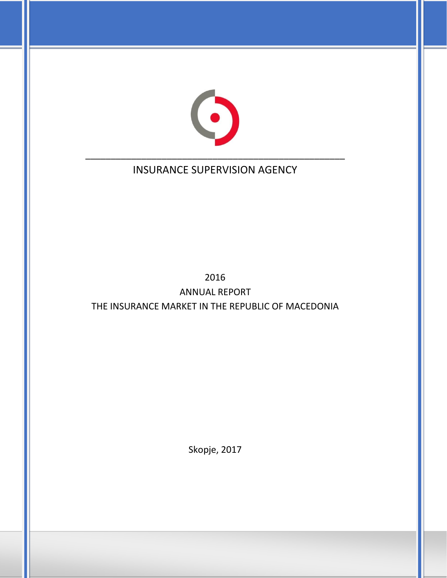

# INSURANCE SUPERVISION AGENCY

# 2016 ANNUAL REPORT THE INSURANCE MARKET IN THE REPUBLIC OF MACEDONIA

Skopje, 2017

1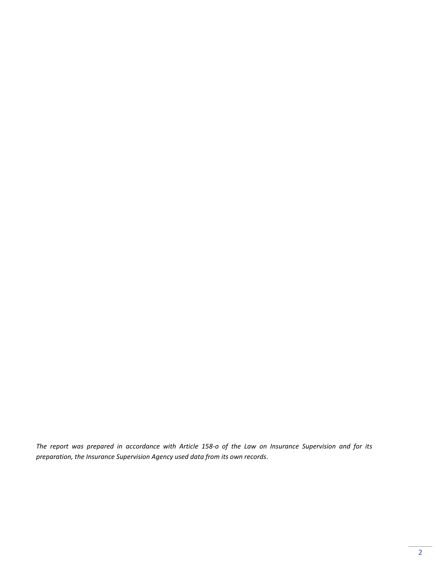*The report was prepared in accordance with Article 158-o of the Law on Insurance Supervision and for its preparation, the Insurance Supervision Agency used data from its own records.*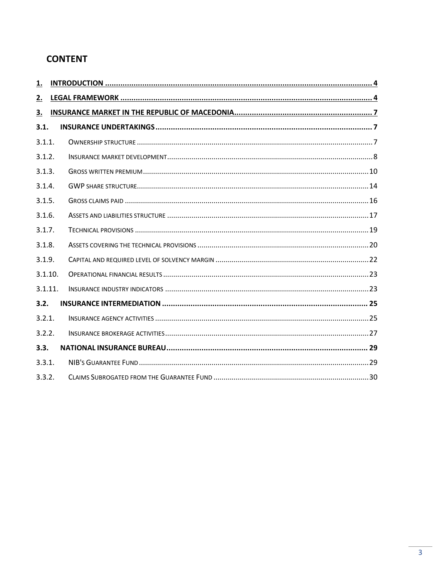## **CONTENT**

| 1.      |  |
|---------|--|
| 2.      |  |
| 3.      |  |
| 3.1.    |  |
| 3.1.1.  |  |
| 3.1.2.  |  |
| 3.1.3.  |  |
| 3.1.4.  |  |
| 3.1.5.  |  |
| 3.1.6.  |  |
| 3.1.7.  |  |
| 3.1.8.  |  |
| 3.1.9.  |  |
| 3.1.10. |  |
| 3.1.11. |  |
| 3.2.    |  |
| 3.2.1.  |  |
| 3.2.2.  |  |
| 3.3.    |  |
| 3.3.1.  |  |
| 3.3.2.  |  |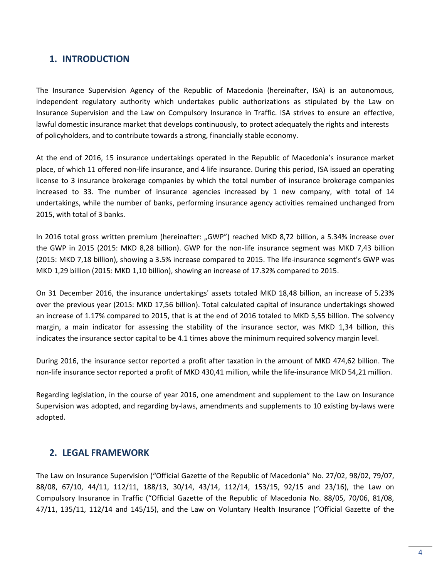## <span id="page-3-0"></span>**1. INTRODUCTION**

The Insurance Supervision Agency of the Republic of Macedonia (hereinafter, ISA) is an autonomous, independent regulatory authority which undertakes public authorizations as stipulated by the Law on Insurance Supervision and the Law on Compulsory Insurance in Traffic. ISA strives to ensure an effective, lawful domestic insurance market that develops continuously, to protect adequately the rights and interests of policyholders, and to contribute towards a strong, financially stable economy.

At the end of 2016, 15 insurance undertakings operated in the Republic of Macedonia's insurance market place, of which 11 offered non-life insurance, and 4 life insurance. During this period, ISA issued an operating license to 3 insurance brokerage companies by which the total number of insurance brokerage companies increased to 33. The number of insurance agencies increased by 1 new company, with total of 14 undertakings, while the number of banks, performing insurance agency activities remained unchanged from 2015, with total of 3 banks.

In 2016 total gross written premium (hereinafter: "GWP") reached MKD 8,72 billion, a 5.34% increase over the GWP in 2015 (2015: MKD 8,28 billion). GWP for the non-life insurance segment was MKD 7,43 billion (2015: MKD 7,18 billion), showing a 3.5% increase compared to 2015. The life-insurance segment's GWP was MKD 1,29 billion (2015: MKD 1,10 billion), showing an increase of 17.32% compared to 2015.

On 31 December 2016, the insurance undertakings' assets totaled MKD 18,48 billion, an increase of 5.23% over the previous year (2015: MKD 17,56 billion). Total calculated capital of insurance undertakings showed an increase of 1.17% compared to 2015, that is at the end of 2016 totaled to MKD 5,55 billion. The solvency margin, a main indicator for assessing the stability of the insurance sector, was MKD 1,34 billion, this indicates the insurance sector capital to be 4.1 times above the minimum required solvency margin level.

During 2016, the insurance sector reported a profit after taxation in the amount of MKD 474,62 billion. The non-life insurance sector reported a profit of MKD 430,41 million, while the life-insurance MKD 54,21 million.

Regarding legislation, in the course of year 2016, one amendment and supplement to the Law on Insurance Supervision was adopted, and regarding by-laws, amendments and supplements to 10 existing by-laws were adopted.

## <span id="page-3-1"></span>**2. LEGAL FRAMEWORK**

The Law on Insurance Supervision ("Official Gazette of the Republic of Macedonia" No. 27/02, 98/02, 79/07, 88/08, 67/10, 44/11, 112/11, 188/13, 30/14, 43/14, 112/14, 153/15, 92/15 and 23/16), the Law on Compulsory Insurance in Traffic ("Official Gazette of the Republic of Macedonia No. 88/05, 70/06, 81/08, 47/11, 135/11, 112/14 and 145/15), and the Law on Voluntary Health Insurance ("Official Gazette of the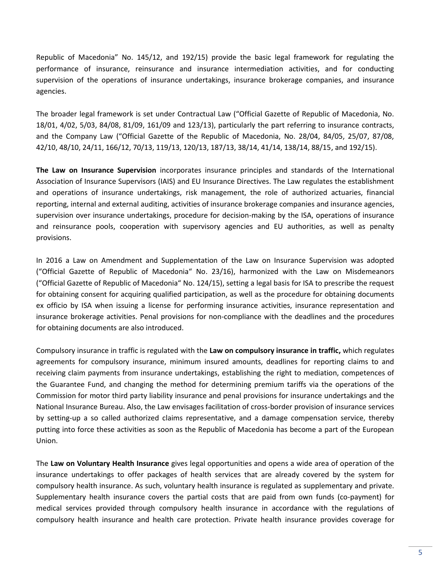Republic of Macedonia" No. 145/12, and 192/15) provide the basic legal framework for regulating the performance of insurance, reinsurance and insurance intermediation activities, and for conducting supervision of the operations of insurance undertakings, insurance brokerage companies, and insurance agencies.

The broader legal framework is set under Contractual Law ("Official Gazette of Republic of Macedonia, No. 18/01, 4/02, 5/03, 84/08, 81/09, 161/09 and 123/13), particularly the part referring to insurance contracts, and the Company Law ("Official Gazette of the Republic of Macedonia, No. 28/04, 84/05, 25/07, 87/08, 42/10, 48/10, 24/11, 166/12, 70/13, 119/13, 120/13, 187/13, 38/14, 41/14, 138/14, 88/15, and 192/15).

**The Law on Insurance Supervision** incorporates insurance principles and standards of the International Association of Insurance Supervisors (IAIS) and EU Insurance Directives. The Law regulates the establishment and operations of insurance undertakings, risk management, the role of authorized actuaries, financial reporting, internal and external auditing, activities of insurance brokerage companies and insurance agencies, supervision over insurance undertakings, procedure for decision-making by the ISA, operations of insurance and reinsurance pools, cooperation with supervisory agencies and EU authorities, as well as penalty provisions.

In 2016 a Law on Amendment and Supplementation of the Law on Insurance Supervision was adopted ("Official Gazette of Republic of Macedonia" No. 23/16), harmonized with the Law on Misdemeanors ("Official Gazette of Republic of Macedonia" No. 124/15), setting a legal basis for ISA to prescribe the request for obtaining consent for acquiring qualified participation, as well as the procedure for obtaining documents ex officio by ISA when issuing a license for performing insurance activities, insurance representation and insurance brokerage activities. Penal provisions for non-compliance with the deadlines and the procedures for obtaining documents are also introduced.

Compulsory insurance in traffic is regulated with the **Law on compulsory insurance in traffic,** which regulates agreements for compulsory insurance, minimum insured amounts, deadlines for reporting claims to and receiving claim payments from insurance undertakings, establishing the right to mediation, competences of the Guarantee Fund, and changing the method for determining premium tariffs via the operations of the Commission for motor third party liability insurance and penal provisions for insurance undertakings and the National Insurance Bureau. Also, the Law envisages facilitation of cross-border provision of insurance services by setting-up a so called authorized claims representative, and a damage compensation service, thereby putting into force these activities as soon as the Republic of Macedonia has become a part of the European Union.

The **Law on Voluntary Health Insurance** gives legal opportunities and opens a wide area of operation of the insurance undertakings to offer packages of health services that are already covered by the system for compulsory health insurance. As such, voluntary health insurance is regulated as supplementary and private. Supplementary health insurance covers the partial costs that are paid from own funds (co-payment) for medical services provided through compulsory health insurance in accordance with the regulations of compulsory health insurance and health care protection. Private health insurance provides coverage for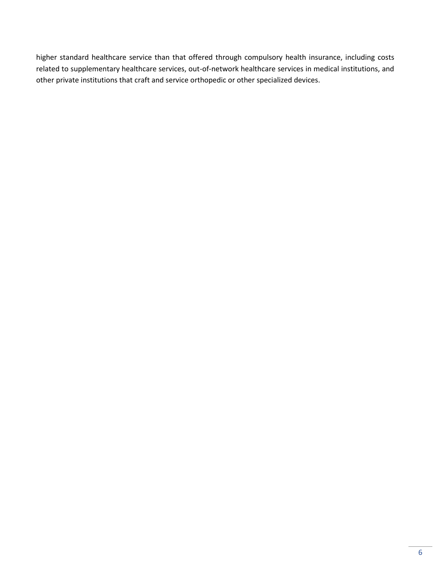higher standard healthcare service than that offered through compulsory health insurance, including costs related to supplementary healthcare services, out-of-network healthcare services in medical institutions, and other private institutions that craft and service orthopedic or other specialized devices.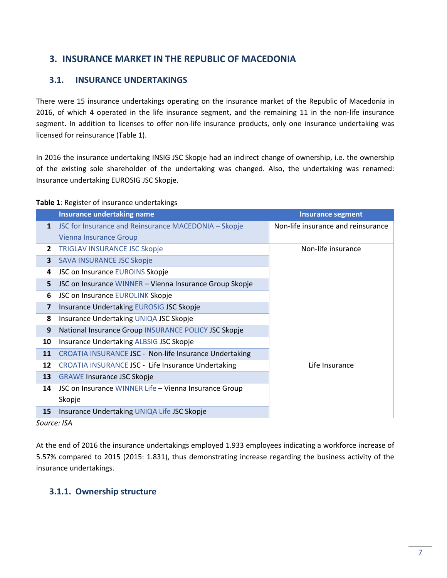## <span id="page-6-0"></span>**3. INSURANCE MARKET IN THE REPUBLIC OF MACEDONIA**

## <span id="page-6-1"></span>**3.1. INSURANCE UNDERTAKINGS**

There were 15 insurance undertakings operating on the insurance market of the Republic of Macedonia in 2016, of which 4 operated in the life insurance segment, and the remaining 11 in the non-life insurance segment. In addition to licenses to offer non-life insurance products, only one insurance undertaking was licensed for reinsurance (Table 1).

In 2016 the insurance undertaking INSIG JSC Skopje had an indirect change of ownership, i.e. the ownership of the existing sole shareholder of the undertaking was changed. Also, the undertaking was renamed: Insurance undertaking EUROSIG JSC Skopje.

#### **Table 1**: Register of insurance undertakings

|                | <b>Insurance undertaking name</b>                       | <b>Insurance segment</b>           |
|----------------|---------------------------------------------------------|------------------------------------|
| $\mathbf{1}$   | JSC for Insurance and Reinsurance MACEDONIA - Skopje    | Non-life insurance and reinsurance |
|                | <b>Vienna Insurance Group</b>                           |                                    |
| $\overline{2}$ | <b>TRIGLAV INSURANCE JSC Skopje</b>                     | Non-life insurance                 |
| 3              | <b>SAVA INSURANCE JSC Skopje</b>                        |                                    |
| 4              | JSC on Insurance EUROINS Skopje                         |                                    |
| 5              | JSC on Insurance WINNER - Vienna Insurance Group Skopje |                                    |
| 6              | JSC on Insurance EUROLINK Skopje                        |                                    |
| 7              | Insurance Undertaking EUROSIG JSC Skopje                |                                    |
| 8              | Insurance Undertaking UNIQA JSC Skopje                  |                                    |
| 9              | National Insurance Group INSURANCE POLICY JSC Skopje    |                                    |
| 10             | Insurance Undertaking ALBSIG JSC Skopje                 |                                    |
| 11             | CROATIA INSURANCE JSC - Non-life Insurance Undertaking  |                                    |
| 12             | CROATIA INSURANCE JSC - Life Insurance Undertaking      | Life Insurance                     |
| 13             | <b>GRAWE Insurance JSC Skopje</b>                       |                                    |
| 14             | JSC on Insurance WINNER Life - Vienna Insurance Group   |                                    |
|                | Skopje                                                  |                                    |
| 15             | Insurance Undertaking UNIQA Life JSC Skopje             |                                    |

*Source: ISA*

At the end of 2016 the insurance undertakings employed 1.933 employees indicating a workforce increase of 5.57% compared to 2015 (2015: 1.831), thus demonstrating increase regarding the business activity of the insurance undertakings.

## <span id="page-6-2"></span>**3.1.1. Ownership structure**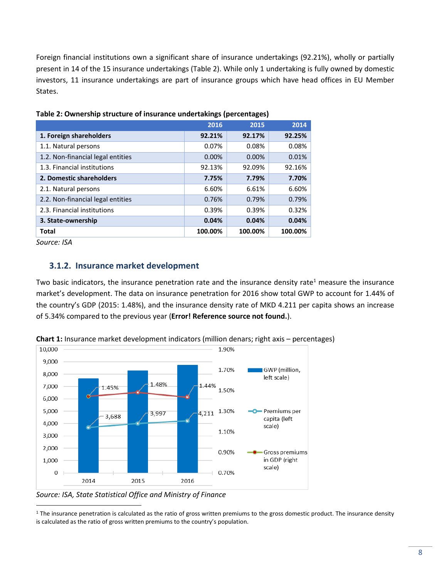Foreign financial institutions own a significant share of insurance undertakings (92.21%), wholly or partially present in 14 of the 15 insurance undertakings (Table 2). While only 1 undertaking is fully owned by domestic investors, 11 insurance undertakings are part of insurance groups which have head offices in EU Member States.

|                                   | 2016     | 2015    | 2014    |
|-----------------------------------|----------|---------|---------|
| 1. Foreign shareholders           | 92.21%   | 92.17%  | 92.25%  |
| 1.1. Natural persons              | 0.07%    | 0.08%   | 0.08%   |
| 1.2. Non-financial legal entities | $0.00\%$ | 0.00%   | 0.01%   |
| 1.3. Financial institutions       | 92.13%   | 92.09%  | 92.16%  |
| 2. Domestic shareholders          | 7.75%    | 7.79%   | 7.70%   |
| 2.1. Natural persons              | 6.60%    | 6.61%   | 6.60%   |
| 2.2. Non-financial legal entities | 0.76%    | 0.79%   | 0.79%   |
| 2.3. Financial institutions       | 0.39%    | 0.39%   | 0.32%   |
| 3. State-ownership                | 0.04%    | 0.04%   | 0.04%   |
| <b>Total</b>                      | 100.00%  | 100.00% | 100.00% |

**Table 2: Ownership structure of insurance undertakings (percentages)**

*Source: ISA*

 $\overline{\phantom{a}}$ 

## <span id="page-7-0"></span>**3.1.2. Insurance market development**

Two basic indicators, the insurance penetration rate and the insurance density rate<sup>1</sup> measure the insurance market's development. The data on insurance penetration for 2016 show total GWP to account for 1.44% of the country's GDP (2015: 1.48%), and the insurance density rate of MKD 4.211 per capita shows an increase of 5.34% compared to the previous year (**Error! Reference source not found.**).



**Chart 1:** Insurance market development indicators (million denars; right axis – percentages)

*Source: ISA, State Statistical Office and Ministry of Finance*

<sup>1</sup> The insurance penetration is calculated as the ratio of gross written premiums to the gross domestic product. The insurance density is calculated as the ratio of gross written premiums to the country's population.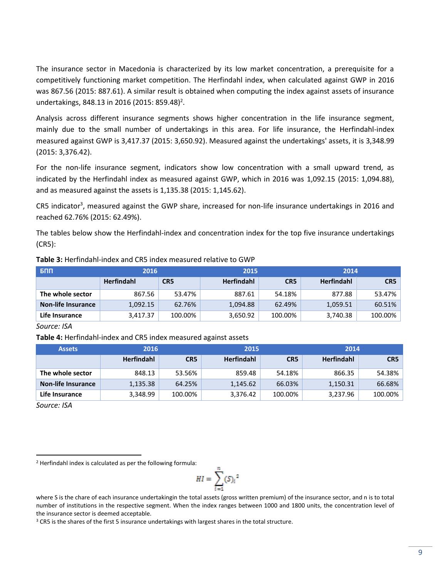The insurance sector in Macedonia is characterized by its low market concentration, a prerequisite for a competitively functioning market competition. The Herfindahl index, when calculated against GWP in 2016 was 867.56 (2015: 887.61). A similar result is obtained when computing the index against assets of insurance undertakings, 848.13 in 2016 (2015: 859.48) 2 .

Analysis across different insurance segments shows higher concentration in the life insurance segment, mainly due to the small number of undertakings in this area. For life insurance, the Herfindahl-index measured against GWP is 3,417.37 (2015: 3,650.92). Measured against the undertakings' assets, it is 3,348.99 (2015: 3,376.42).

For the non-life insurance segment, indicators show low concentration with a small upward trend, as indicated by the Herfindahl index as measured against GWP, which in 2016 was 1,092.15 (2015: 1,094.88), and as measured against the assets is 1,135.38 (2015: 1,145.62).

CR5 indicator<sup>3</sup>, measured against the GWP share, increased for non-life insurance undertakings in 2016 and reached 62.76% (2015: 62.49%).

The tables below show the Herfindahl-index and concentration index for the top five insurance undertakings (CR5):

| $F_{\rm B}$               | 2016              |                 | 2015              |                 | 2014              |         |  |
|---------------------------|-------------------|-----------------|-------------------|-----------------|-------------------|---------|--|
|                           | <b>Herfindahl</b> | CR <sub>5</sub> | <b>Herfindahl</b> | CR <sub>5</sub> | <b>Herfindahl</b> | CR5     |  |
| The whole sector          | 867.56            | 53.47%          | 887.61            | 54.18%          | 877.88            | 53.47%  |  |
| <b>Non-life Insurance</b> | 1,092.15          | 62.76%          | 1,094.88          | 62.49%          | 1,059.51          | 60.51%  |  |
| Life Insurance            | 3,417.37          | 100.00%         | 3,650.92          | 100.00%         | 3,740.38          | 100.00% |  |

#### **Table 3:** Herfindahl-index and CR5 index measured relative to GWP

*Source: ISA*

**Table 4:** Herfindahl-index and CR5 index measured against assets

| <b>Assets</b>             | 2016              |                 | 2015              |         | 2014              |         |  |
|---------------------------|-------------------|-----------------|-------------------|---------|-------------------|---------|--|
|                           | <b>Herfindahl</b> | CR <sub>5</sub> | <b>Herfindahl</b> | CR5     | <b>Herfindahl</b> | CR5     |  |
| The whole sector          | 848.13            | 53.56%          | 859.48            | 54.18%  | 866.35            | 54.38%  |  |
| <b>Non-life Insurance</b> | 1,135.38          | 64.25%          | 1,145.62          | 66.03%  | 1,150.31          | 66.68%  |  |
| Life Insurance            | 3,348.99          | 100.00%         | 3,376.42          | 100.00% | 3,237.96          | 100.00% |  |

*Source: ISA*

 $\overline{\phantom{a}}$ 

<sup>2</sup> Herfindahl index is calculated as per the following formula:

$$
HI = \sum_{i=1}^{n} (S_i)^2
$$

where S is the chare of each insurance undertakingin the total assets (gross written premium) of the insurance sector, and n is to total number of institutions in the respective segment. When the index ranges between 1000 and 1800 units, the concentration level of the insurance sector is deemed acceptable.

<sup>&</sup>lt;sup>3</sup> CR5 is the shares of the first 5 insurance undertakings with largest shares in the total structure.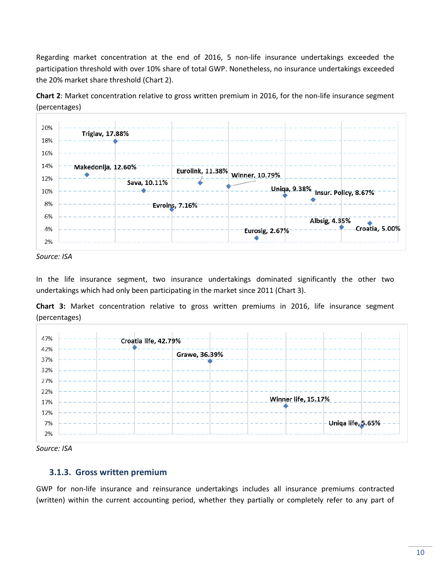Regarding market concentration at the end of 2016, 5 non-life insurance undertakings exceeded the participation threshold with over 10% share of total GWP. Nonetheless, no insurance undertakings exceeded the 20% market share threshold (Chart 2).

**Chart 2**: Market concentration relative to gross written premium in 2016, for the non-life insurance segment (percentages)





In the life insurance segment, two insurance undertakings dominated significantly the other two undertakings which had only been participating in the market since 2011 (Chart 3).

**Chart 3:** Market concentration relative to gross written premiums in 2016, life insurance segment (percentages)





#### <span id="page-9-0"></span>**3.1.3. Gross written premium**

GWP for non-life insurance and reinsurance undertakings includes all insurance premiums contracted (written) within the current accounting period, whether they partially or completely refer to any part of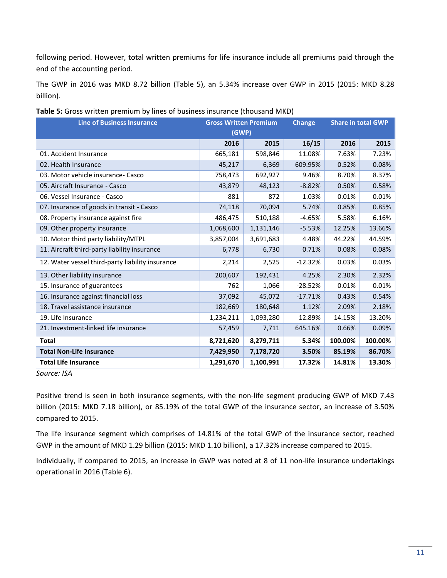following period. However, total written premiums for life insurance include all premiums paid through the end of the accounting period.

The GWP in 2016 was MKD 8.72 billion (Table 5), an 5.34% increase over GWP in 2015 (2015: MKD 8.28 billion).

| <b>Line of Business Insurance</b>                | <b>Gross Written Premium</b> |           | <b>Change</b> | <b>Share in total GWP</b> |         |  |  |
|--------------------------------------------------|------------------------------|-----------|---------------|---------------------------|---------|--|--|
|                                                  | (GWP)                        |           |               |                           |         |  |  |
|                                                  | 2016                         | 2015      | 16/15         | 2016                      | 2015    |  |  |
| 01. Accident Insurance                           | 665,181                      | 598,846   | 11.08%        | 7.63%                     | 7.23%   |  |  |
| 02. Health Insurance                             | 45,217                       | 6,369     | 609.95%       | 0.52%                     | 0.08%   |  |  |
| 03. Motor vehicle insurance- Casco               | 758,473                      | 692,927   | 9.46%         | 8.70%                     | 8.37%   |  |  |
| 05. Aircraft Insurance - Casco                   | 43,879                       | 48,123    | $-8.82%$      | 0.50%                     | 0.58%   |  |  |
| 06. Vessel Insurance - Casco                     | 881                          | 872       | 1.03%         | 0.01%                     | 0.01%   |  |  |
| 07. Insurance of goods in transit - Casco        | 74,118                       | 70,094    | 5.74%         | 0.85%                     | 0.85%   |  |  |
| 08. Property insurance against fire              | 486,475                      | 510,188   | $-4.65%$      | 5.58%                     | 6.16%   |  |  |
| 09. Other property insurance                     | 1,068,600                    | 1,131,146 | $-5.53%$      | 12.25%                    | 13.66%  |  |  |
| 10. Motor third party liability/MTPL             | 3,857,004                    | 3,691,683 | 4.48%         | 44.22%                    | 44.59%  |  |  |
| 11. Aircraft third-party liability insurance     | 6,778                        | 6,730     | 0.71%         | 0.08%                     | 0.08%   |  |  |
| 12. Water vessel third-party liability insurance | 2,214                        | 2,525     | $-12.32%$     | 0.03%                     | 0.03%   |  |  |
| 13. Other liability insurance                    | 200,607                      | 192,431   | 4.25%         | 2.30%                     | 2.32%   |  |  |
| 15. Insurance of guarantees                      | 762                          | 1,066     | $-28.52%$     | 0.01%                     | 0.01%   |  |  |
| 16. Insurance against financial loss             | 37,092                       | 45,072    | $-17.71%$     | 0.43%                     | 0.54%   |  |  |
| 18. Travel assistance insurance                  | 182,669                      | 180,648   | 1.12%         | 2.09%                     | 2.18%   |  |  |
| 19. Life Insurance                               | 1,234,211                    | 1,093,280 | 12.89%        | 14.15%                    | 13.20%  |  |  |
| 21. Investment-linked life insurance             | 57,459                       | 7,711     | 645.16%       | 0.66%                     | 0.09%   |  |  |
| <b>Total</b>                                     | 8,721,620                    | 8,279,711 | 5.34%         | 100.00%                   | 100.00% |  |  |
| <b>Total Non-Life Insurance</b>                  | 7,429,950                    | 7,178,720 | 3.50%         | 85.19%                    | 86.70%  |  |  |
| <b>Total Life Insurance</b>                      | 1,291,670                    | 1,100,991 | 17.32%        | 14.81%                    | 13.30%  |  |  |

|  |  | Table 5: Gross written premium by lines of business insurance (thousand MKD) |  |
|--|--|------------------------------------------------------------------------------|--|
|--|--|------------------------------------------------------------------------------|--|

*Source: ISA*

Positive trend is seen in both insurance segments, with the non-life segment producing GWP of MKD 7.43 billion (2015: MKD 7.18 billion), or 85.19% of the total GWP of the insurance sector, an increase of 3.50% compared to 2015.

The life insurance segment which comprises of 14.81% of the total GWP of the insurance sector, reached GWP in the amount of MKD 1.29 billion (2015: MKD 1.10 billion), a 17.32% increase compared to 2015.

Individually, if compared to 2015, an increase in GWP was noted at 8 of 11 non-life insurance undertakings operational in 2016 (Table 6).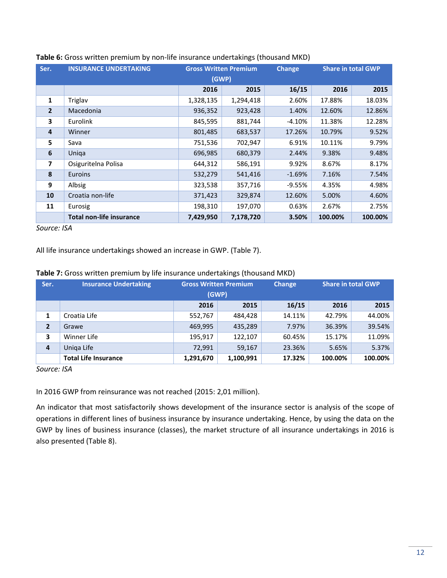| Ser.           | <b>INSURANCE UNDERTAKING</b>    | <b>Gross Written Premium</b> |           | <b>Change</b> | <b>Share in total GWP</b> |         |
|----------------|---------------------------------|------------------------------|-----------|---------------|---------------------------|---------|
|                |                                 | (GWP)                        |           |               |                           |         |
|                |                                 | 2016                         | 2015      | 16/15         | 2016                      | 2015    |
| $\mathbf{1}$   | Triglav                         | 1,328,135                    | 1,294,418 | 2.60%         | 17.88%                    | 18.03%  |
| $\overline{2}$ | Macedonia                       | 936,352                      | 923,428   | 1.40%         | 12.60%                    | 12.86%  |
| 3              | <b>Eurolink</b>                 | 845,595                      | 881,744   | -4.10%        | 11.38%                    | 12.28%  |
| 4              | Winner                          | 801,485                      | 683,537   | 17.26%        | 10.79%                    | 9.52%   |
| 5.             | Sava                            | 751,536                      | 702,947   | 6.91%         | 10.11%                    | 9.79%   |
| 6              | Uniga                           | 696,985                      | 680,379   | 2.44%         | 9.38%                     | 9.48%   |
| $\overline{ }$ | Osiguritelna Polisa             | 644,312                      | 586,191   | 9.92%         | 8.67%                     | 8.17%   |
| 8              | <b>Euroins</b>                  | 532,279                      | 541,416   | $-1.69%$      | 7.16%                     | 7.54%   |
| 9              | Albsig                          | 323,538                      | 357,716   | $-9.55%$      | 4.35%                     | 4.98%   |
| 10             | Croatia non-life                | 371,423                      | 329,874   | 12.60%        | 5.00%                     | 4.60%   |
| 11             | Eurosig                         | 198,310                      | 197,070   | 0.63%         | 2.67%                     | 2.75%   |
|                | <b>Total non-life insurance</b> | 7,429,950                    | 7,178,720 | 3.50%         | 100.00%                   | 100.00% |

#### **Table 6:** Gross written premium by non-life insurance undertakings (thousand MKD)

*Source: ISA*

All life insurance undertakings showed an increase in GWP. (Table 7).

|  |  |  |  |  |  |  | Table 7: Gross written premium by life insurance undertakings (thousand MKD) |
|--|--|--|--|--|--|--|------------------------------------------------------------------------------|
|--|--|--|--|--|--|--|------------------------------------------------------------------------------|

| Ser.           | <b>Insurance Undertaking</b> | <b>Gross Written Premium</b> | (GWP)     | <b>Change</b> | <b>Share in total GWP</b> |         |
|----------------|------------------------------|------------------------------|-----------|---------------|---------------------------|---------|
|                |                              | 2016                         | 2015      | 16/15         | 2016                      | 2015    |
| 1              | Croatia Life                 | 552,767                      | 484,428   | 14.11%        | 42.79%                    | 44.00%  |
| $\overline{2}$ | Grawe                        | 469,995                      | 435,289   | 7.97%         | 36.39%                    | 39.54%  |
| 3              | Winner Life                  | 195,917                      | 122,107   | 60.45%        | 15.17%                    | 11.09%  |
| 4              | Uniga Life                   | 72.991                       | 59,167    | 23.36%        | 5.65%                     | 5.37%   |
|                | <b>Total Life Insurance</b>  | 1,291,670                    | 1,100,991 | 17.32%        | 100.00%                   | 100.00% |

*Source: ISA*

In 2016 GWP from reinsurance was not reached (2015: 2,01 million).

An indicator that most satisfactorily shows development of the insurance sector is analysis of the scope of operations in different lines of business insurance by insurance undertaking. Hence, by using the data on the GWP by lines of business insurance (classes), the market structure of all insurance undertakings in 2016 is also presented (Table 8).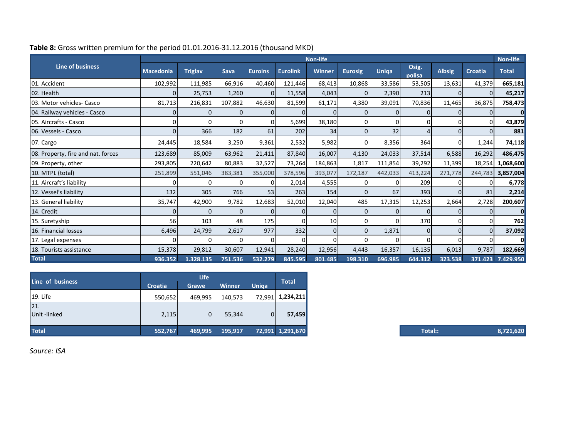|                                    |                  |                |         |                |                 | <b>Non-life</b> |                |          |                 |               |                | <b>Non-life</b>   |
|------------------------------------|------------------|----------------|---------|----------------|-----------------|-----------------|----------------|----------|-----------------|---------------|----------------|-------------------|
| <b>Line of business</b>            | <b>Macedonia</b> | <b>Triglav</b> | Sava    | <b>Euroins</b> | <b>Eurolink</b> | <b>Winner</b>   | <b>Eurosig</b> | Uniqa    | Osig.<br>polisa | <b>Albsig</b> | <b>Croatia</b> | <b>Total</b>      |
| 01. Accident                       | 102,992          | 111,985        | 66,916  | 40,460         | 121,446         | 68,413          | 10,868         | 33,586   | 53,505          | 13,631        | 41,379         | 665,181           |
| 02. Health                         |                  | 25,753         | 1,260   | $\overline{0}$ | 11,558          | 4,043           | 0              | 2,390    | 213             |               | $\Omega$       | 45,217            |
| 03. Motor vehicles- Casco          | 81,713           | 216,831        | 107,882 | 46,630         | 81,599          | 61,171          | 4,380          | 39,091   | 70,836          | 11,465        | 36,875         | 758,473           |
| 04. Railway vehicles - Casco       |                  | $\Omega$       |         | $\Omega$       |                 | 0               | $\Omega$       | $\Omega$ | 0l              |               |                | n                 |
| 05. Aircrafts - Casco              | 0l               | O              | n       | $\overline{0}$ | 5,699           | 38,180          | 0              |          | $\Omega$        |               | 0              | 43,879            |
| 06. Vessels - Casco                |                  | 366            | 182     | 61             | 202             | 34              | $\Omega$       | 32       | $\overline{4}$  |               | 01             | 881               |
| 07. Cargo                          | 24,445           | 18,584         | 3,250   | 9,361          | 2,532           | 5,982           | οI             | 8,356    | 364             | $\Omega$      | 1,244          | 74,118            |
| 08. Property, fire and nat. forces | 123,689          | 85,009         | 63,962  | 21,411         | 87,840          | 16,007          | 4,130          | 24,033   | 37,514          | 6,588         | 16,292         | 486,475           |
| 09. Property, other                | 293,805          | 220,642        | 80,883  | 32,527         | 73,264          | 184,863         | 1,817          | 111,854  | 39,292          | 11,399        | 18,254         | 1,068,600         |
| 10. MTPL (total)                   | 251,899          | 551,046        | 383,381 | 355,000        | 378,596         | 393,077         | 172,187        | 442,033  | 413,224         | 271,778       | 244,783        | 3,857,004         |
| 11. Aircraft's liability           | ΩI               | $\Omega$       | 0       | 0              | 2,014           | 4,555           | $\Omega$       | ΩI       | 209             |               | 0              | 6,778             |
| 12. Vessel's liability             | 132              | 305            | 766     | 53             | 263             | 154             | $\Omega$       | 67       | 393             |               | 81             | 2,214             |
| 13. General liability              | 35,747           | 42,900         | 9,782   | 12,683         | 52,010          | 12,040          | 485            | 17,315   | 12,253          | 2,664         | 2,728          | 200,607           |
| 14. Credit                         |                  | $\overline{0}$ | 0       | $\Omega$       | 01              | 01              | 0              | 01       | 0               |               | 01             | $\Omega$          |
| 15. Suretyship                     | 56               | 103            | 48      | 175            |                 | 10 <sup>1</sup> | 0              |          | 370             |               | 0              | 762               |
| 16. Financial losses               | 6,496            | 24,799         | 2,617   | 977            | 332             | $\overline{0}$  | 0l             | 1,871    | $\overline{0}$  | $\Omega$      |                | 37,092            |
| 17. Legal expenses                 |                  | O              | n       | 0              |                 | 01              | $\Omega$       | $\Omega$ | 0               |               |                | $\Omega$          |
| 18. Tourists assistance            | 15,378           | 29,812         | 30,607  | 12,941         | 28,240          | 12,956          | 4,443          | 16,357   | 16,135          | 6,013         | 9,787          | 182,669           |
| <b>Total</b>                       | 936.352          | 1.328.135      | 751.536 | 532.279        | 845.595         | 801.485         | 198.310        | 696.985  | 644.312         | 323.538       |                | 371.423 7.429.950 |

### **Table 8:** Gross written premium for the period 01.01.2016-31.12.2016 (thousand MKD)

| Line of business    | <b>Croatia</b> | <b>Grawe</b> | <b>Winner</b> | Uniga    | <b>Total</b>     |
|---------------------|----------------|--------------|---------------|----------|------------------|
| 19. Life            | 550,652        | 469,995      | 140,573       | 72,991   | 1,234,211        |
| 21.<br>Unit -linked | 2,115          | 0            | 55,344        | $\Omega$ | 57,459           |
| <b>Total</b>        | 552,767        | 469,995      | 195,917       |          | 72,991 1,291,670 |

**Total:: 8,721,620**

*Source: ISA*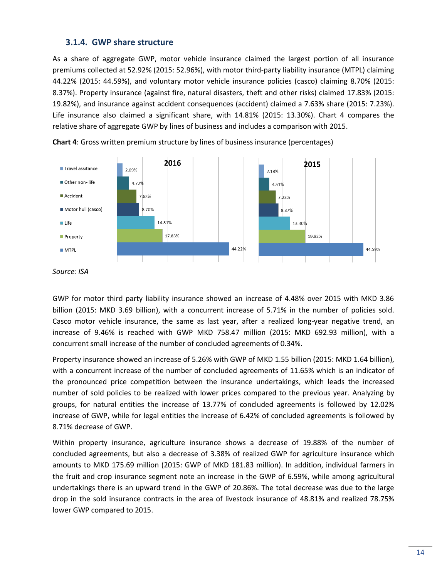### <span id="page-13-0"></span>**3.1.4. GWP share structure**

As a share of aggregate GWP, motor vehicle insurance claimed the largest portion of all insurance premiums collected at 52.92% (2015: 52.96%), with motor third-party liability insurance (MTPL) claiming 44.22% (2015: 44.59%), and voluntary motor vehicle insurance policies (casco) claiming 8.70% (2015: 8.37%). Property insurance (against fire, natural disasters, theft and other risks) claimed 17.83% (2015: 19.82%), and insurance against accident consequences (accident) claimed a 7.63% share (2015: 7.23%). Life insurance also claimed a significant share, with 14.81% (2015: 13.30%). Chart 4 compares the relative share of aggregate GWP by lines of business and includes a comparison with 2015.



**Chart 4**: Gross written premium structure by lines of business insurance (percentages)

*Source: ISA* 

GWP for motor third party liability insurance showed an increase of 4.48% over 2015 with MKD 3.86 billion (2015: MKD 3.69 billion), with a concurrent increase of 5.71% in the number of policies sold. Casco motor vehicle insurance, the same as last year, after a realized long-year negative trend, an increase of 9.46% is reached with GWP MKD 758.47 million (2015: MKD 692.93 million), with a concurrent small increase of the number of concluded agreements of 0.34%.

Property insurance showed an increase of 5.26% with GWP of MKD 1.55 billion (2015: MKD 1.64 billion), with a concurrent increase of the number of concluded agreements of 11.65% which is an indicator of the pronounced price competition between the insurance undertakings, which leads the increased number of sold policies to be realized with lower prices compared to the previous year. Analyzing by groups, for natural entities the increase of 13.77% of concluded agreements is followed by 12.02% increase of GWP, while for legal entities the increase of 6.42% of concluded agreements is followed by 8.71% decrease of GWP.

Within property insurance, agriculture insurance shows a decrease of 19.88% of the number of concluded agreements, but also a decrease of 3.38% of realized GWP for agriculture insurance which amounts to MKD 175.69 million (2015: GWP of MKD 181.83 million). In addition, individual farmers in the fruit and crop insurance segment note an increase in the GWP of 6.59%, while among agricultural undertakings there is an upward trend in the GWP of 20.86%. The total decrease was due to the large drop in the sold insurance contracts in the area of livestock insurance of 48.81% and realized 78.75% lower GWP compared to 2015.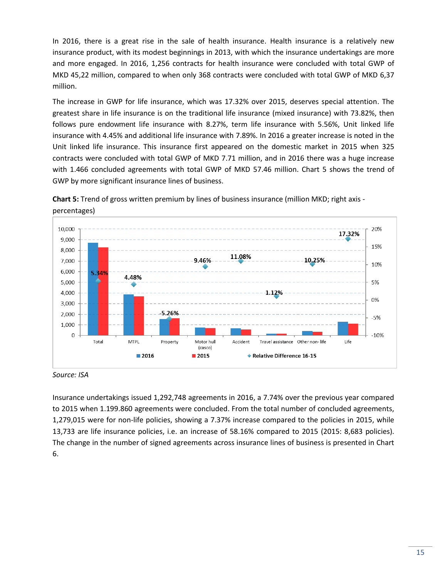In 2016, there is a great rise in the sale of health insurance. Health insurance is a relatively new insurance product, with its modest beginnings in 2013, with which the insurance undertakings are more and more engaged. In 2016, 1,256 contracts for health insurance were concluded with total GWP of MKD 45,22 million, compared to when only 368 contracts were concluded with total GWP of MKD 6,37 million.

The increase in GWP for life insurance, which was 17.32% over 2015, deserves special attention. The greatest share in life insurance is on the traditional life insurance (mixed insurance) with 73.82%, then follows pure endowment life insurance with 8.27%, term life insurance with 5.56%, Unit linked life insurance with 4.45% and additional life insurance with 7.89%. In 2016 a greater increase is noted in the Unit linked life insurance. This insurance first appeared on the domestic market in 2015 when 325 contracts were concluded with total GWP of MKD 7.71 million, and in 2016 there was a huge increase with 1.466 concluded agreements with total GWP of MKD 57.46 million. Chart 5 shows the trend of GWP by more significant insurance lines of business.





*Source: ISA*

Insurance undertakings issued 1,292,748 agreements in 2016, a 7.74% over the previous year compared to 2015 when 1.199.860 agreements were concluded. From the total number of concluded agreements, 1,279,015 were for non-life policies, showing a 7.37% increase compared to the policies in 2015, while 13,733 are life insurance policies, i.e. an increase of 58.16% compared to 2015 (2015: 8,683 policies). The change in the number of signed agreements across insurance lines of business is presented in Chart 6.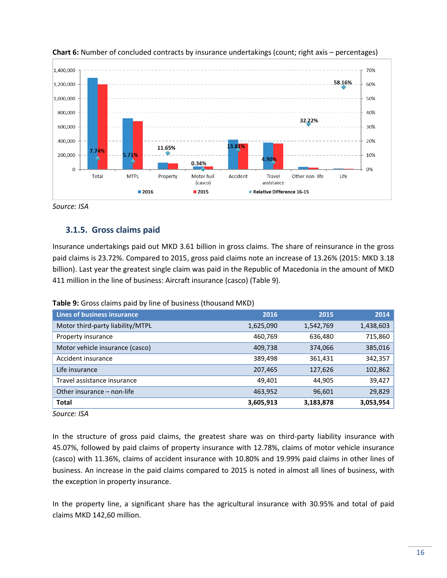



## <span id="page-15-0"></span>**3.1.5. Gross claims paid**

Insurance undertakings paid out MKD 3.61 billion in gross claims. The share of reinsurance in the gross paid claims is 23.72%. Compared to 2015, gross paid claims note an increase of 13.26% (2015: MKD 3.18 billion). Last year the greatest single claim was paid in the Republic of Macedonia in the amount of MKD 411 million in the line of business: Aircraft insurance (casco) (Table 9).

|  |  | Table 9: Gross claims paid by line of business (thousand MKD) |  |
|--|--|---------------------------------------------------------------|--|
|--|--|---------------------------------------------------------------|--|

| Lines of business insurance      | 2016      | 2015      | 2014      |
|----------------------------------|-----------|-----------|-----------|
| Motor third-party liability/MTPL | 1,625,090 | 1,542,769 | 1,438,603 |
| Property insurance               | 460,769   | 636,480   | 715,860   |
| Motor vehicle insurance (casco)  | 409,738   | 374,066   | 385,016   |
| Accident insurance               | 389,498   | 361,431   | 342,357   |
| Life insurance                   | 207,465   | 127,626   | 102,862   |
| Travel assistance insurance      | 49,401    | 44,905    | 39,427    |
| Other insurance – non-life       | 463,952   | 96,601    | 29,829    |
| <b>Total</b>                     | 3,605,913 | 3,183,878 | 3,053,954 |

*Source: ISA*

In the structure of gross paid claims, the greatest share was on third-party liability insurance with 45.07%, followed by paid claims of property insurance with 12.78%, claims of motor vehicle insurance (casco) with 11.36%, claims of accident insurance with 10.80% and 19.99% paid claims in other lines of business. An increase in the paid claims compared to 2015 is noted in almost all lines of business, with the exception in property insurance.

In the property line, a significant share has the agricultural insurance with 30.95% and total of paid claims MKD 142,60 million.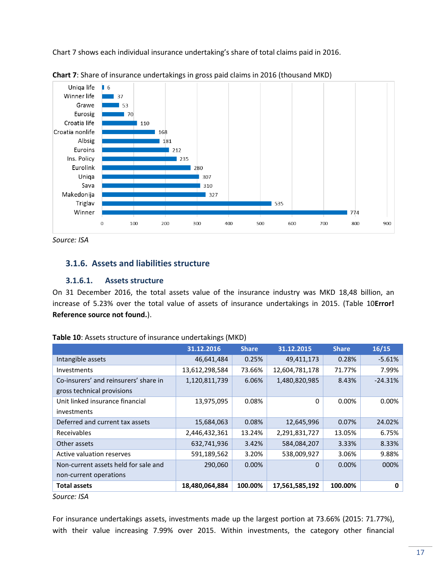Chart 7 shows each individual insurance undertaking's share of total claims paid in 2016.



**Chart 7**: Share of insurance undertakings in gross paid claims in 2016 (thousand MKD)

*Source: ISA*

### <span id="page-16-0"></span>**3.1.6. Assets and liabilities structure**

#### **3.1.6.1. Assets structure**

On 31 December 2016, the total assets value of the insurance industry was MKD 18,48 billion, an increase of 5.23% over the total value of assets of insurance undertakings in 2015. (Table 10**Error! Reference source not found.**).

|                                       | 31.12.2016     | <b>Share</b> | 31.12.2015     | <b>Share</b> | 16/15     |
|---------------------------------------|----------------|--------------|----------------|--------------|-----------|
| Intangible assets                     | 46,641,484     | 0.25%        | 49,411,173     | 0.28%        | $-5.61%$  |
| Investments                           | 13,612,298,584 | 73.66%       | 12,604,781,178 | 71.77%       | 7.99%     |
| Co-insurers' and reinsurers' share in | 1,120,811,739  | 6.06%        | 1,480,820,985  | 8.43%        | $-24.31%$ |
| gross technical provisions            |                |              |                |              |           |
| Unit linked insurance financial       | 13,975,095     | 0.08%        | 0              | 0.00%        | 0.00%     |
| investments                           |                |              |                |              |           |
| Deferred and current tax assets       | 15,684,063     | 0.08%        | 12,645,996     | 0.07%        | 24.02%    |
| Receivables                           | 2,446,432,361  | 13.24%       | 2,291,831,727  | 13.05%       | 6.75%     |
| Other assets                          | 632,741,936    | 3.42%        | 584,084,207    | 3.33%        | 8.33%     |
| Active valuation reserves             | 591,189,562    | 3.20%        | 538,009,927    | 3.06%        | 9.88%     |
| Non-current assets held for sale and  | 290,060        | 0.00%        | 0              | 0.00%        | 000%      |
| non-current operations                |                |              |                |              |           |
| <b>Total assets</b>                   | 18,480,064,884 | 100.00%      | 17,561,585,192 | 100.00%      | 0         |

| Table 10: Assets structure of insurance undertakings (MKD) |  |
|------------------------------------------------------------|--|
|------------------------------------------------------------|--|

For insurance undertakings assets, investments made up the largest portion at 73.66% (2015: 71.77%), with their value increasing 7.99% over 2015. Within investments, the category other financial

*Source: ISA*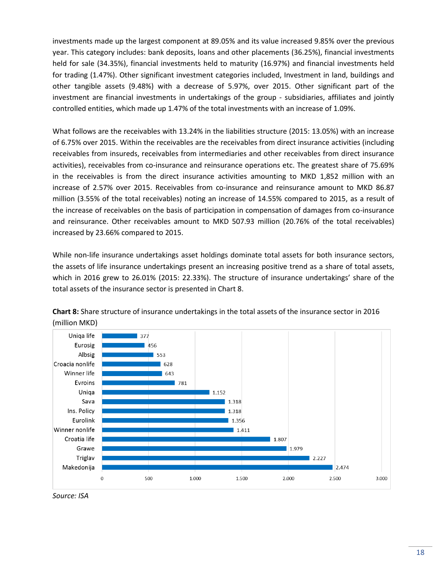investments made up the largest component at 89.05% and its value increased 9.85% over the previous year. This category includes: bank deposits, loans and other placements (36.25%), financial investments held for sale (34.35%), financial investments held to maturity (16.97%) and financial investments held for trading (1.47%). Other significant investment categories included, Investment in land, buildings and other tangible assets (9.48%) with a decrease of 5.97%, over 2015. Other significant part of the investment are financial investments in undertakings of the group - subsidiaries, affiliates and jointly controlled entities, which made up 1.47% of the total investments with an increase of 1.09%.

What follows are the receivables with 13.24% in the liabilities structure (2015: 13.05%) with an increase of 6.75% over 2015. Within the receivables are the receivables from direct insurance activities (including receivables from insureds, receivables from intermediaries and other receivables from direct insurance activities), receivables from co-insurance and reinsurance operations etc. The greatest share of 75.69% in the receivables is from the direct insurance activities amounting to MKD 1,852 million with an increase of 2.57% over 2015. Receivables from co-insurance and reinsurance amount to MKD 86.87 million (3.55% of the total receivables) noting an increase of 14.55% compared to 2015, as a result of the increase of receivables on the basis of participation in compensation of damages from co-insurance and reinsurance. Other receivables amount to MKD 507.93 million (20.76% of the total receivables) increased by 23.66% compared to 2015.

While non-life insurance undertakings asset holdings dominate total assets for both insurance sectors, the assets of life insurance undertakings present an increasing positive trend as a share of total assets, which in 2016 grew to 26.01% (2015: 22.33%). The structure of insurance undertakings' share of the total assets of the insurance sector is presented in Chart 8.



**Chart 8:** Share structure of insurance undertakings in the total assets of the insurance sector in 2016 (million MKD)

*Source: ISA*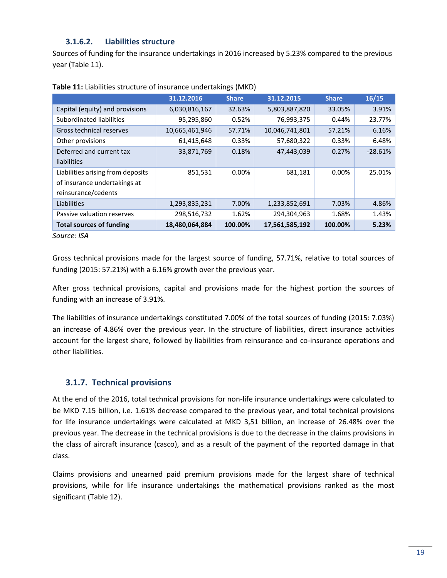### **3.1.6.2. Liabilities structure**

Sources of funding for the insurance undertakings in 2016 increased by 5.23% compared to the previous year (Table 11).

|                                   | 31.12.2016     | <b>Share</b> | 31.12.2015     | <b>Share</b> | 16/15     |
|-----------------------------------|----------------|--------------|----------------|--------------|-----------|
| Capital (equity) and provisions   | 6,030,816,167  | 32.63%       | 5,803,887,820  | 33.05%       | 3.91%     |
| Subordinated liabilities          | 95,295,860     | 0.52%        | 76,993,375     | 0.44%        | 23.77%    |
| Gross technical reserves          | 10,665,461,946 | 57.71%       | 10,046,741,801 | 57.21%       | 6.16%     |
| Other provisions                  | 61,415,648     | 0.33%        | 57,680,322     | 0.33%        | 6.48%     |
| Deferred and current tax          | 33,871,769     | 0.18%        | 47,443,039     | 0.27%        | $-28.61%$ |
| liabilities                       |                |              |                |              |           |
| Liabilities arising from deposits | 851,531        | $0.00\%$     | 681,181        | 0.00%        | 25.01%    |
| of insurance undertakings at      |                |              |                |              |           |
| reinsurance/cedents               |                |              |                |              |           |
| Liabilities                       | 1,293,835,231  | 7.00%        | 1,233,852,691  | 7.03%        | 4.86%     |
| Passive valuation reserves        | 298,516,732    | 1.62%        | 294,304,963    | 1.68%        | 1.43%     |
| <b>Total sources of funding</b>   | 18,480,064,884 | 100.00%      | 17,561,585,192 | 100.00%      | 5.23%     |

**Table 11:** Liabilities structure of insurance undertakings (MKD)

*Source: ISA*

Gross technical provisions made for the largest source of funding, 57.71%, relative to total sources of funding (2015: 57.21%) with a 6.16% growth over the previous year.

After gross technical provisions, capital and provisions made for the highest portion the sources of funding with an increase of 3.91%.

The liabilities of insurance undertakings constituted 7.00% of the total sources of funding (2015: 7.03%) an increase of 4.86% over the previous year. In the structure of liabilities, direct insurance activities account for the largest share, followed by liabilities from reinsurance and co-insurance operations and other liabilities.

## <span id="page-18-0"></span>**3.1.7. Technical provisions**

At the end of the 2016, total technical provisions for non-life insurance undertakings were calculated to be MKD 7.15 billion, i.e. 1.61% decrease compared to the previous year, and total technical provisions for life insurance undertakings were calculated at MKD 3,51 billion, an increase of 26.48% over the previous year. The decrease in the technical provisions is due to the decrease in the claims provisions in the class of aircraft insurance (casco), and as a result of the payment of the reported damage in that class.

Claims provisions and unearned paid premium provisions made for the largest share of technical provisions, while for life insurance undertakings the mathematical provisions ranked as the most significant (Table 12).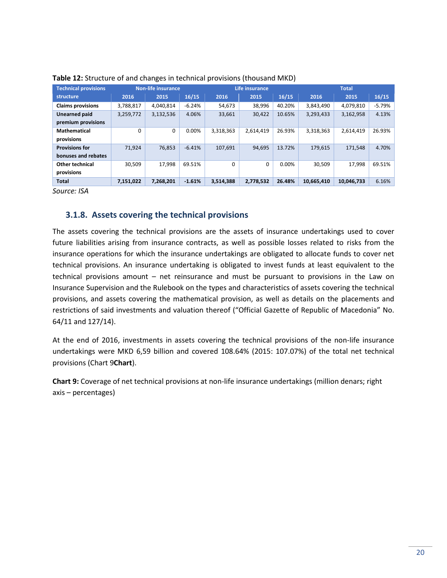| <b>Technical provisions</b> | Non-life insurance |           |          | Life insurance |           |        |            | <b>Total</b> |          |
|-----------------------------|--------------------|-----------|----------|----------------|-----------|--------|------------|--------------|----------|
| structure                   | 2016               | 2015      | 16/15    | 2016           | 2015      | 16/15  | 2016       | 2015         | 16/15    |
| <b>Claims provisions</b>    | 3,788,817          | 4,040,814 | $-6.24%$ | 54,673         | 38.996    | 40.20% | 3,843,490  | 4,079,810    | $-5.79%$ |
| Unearned paid               | 3,259,772          | 3,132,536 | 4.06%    | 33,661         | 30.422    | 10.65% | 3,293,433  | 3,162,958    | 4.13%    |
| premium provisions          |                    |           |          |                |           |        |            |              |          |
| <b>Mathematical</b>         | $\Omega$           | 0         | 0.00%    | 3,318,363      | 2.614.419 | 26.93% | 3,318,363  | 2,614,419    | 26.93%   |
| provisions                  |                    |           |          |                |           |        |            |              |          |
| <b>Provisions for</b>       | 71.924             | 76,853    | $-6.41%$ | 107,691        | 94.695    | 13.72% | 179,615    | 171,548      | 4.70%    |
| bonuses and rebates         |                    |           |          |                |           |        |            |              |          |
| <b>Other technical</b>      | 30.509             | 17.998    | 69.51%   | $\Omega$       | 0         | 0.00%  | 30.509     | 17.998       | 69.51%   |
| provisions                  |                    |           |          |                |           |        |            |              |          |
| <b>Total</b>                | 7,151,022          | 7,268,201 | $-1.61%$ | 3,514,388      | 2,778,532 | 26.48% | 10,665,410 | 10,046,733   | 6.16%    |

| Table 12: Structure of and changes in technical provisions (thousand MKD) |  |  |
|---------------------------------------------------------------------------|--|--|
|---------------------------------------------------------------------------|--|--|

## <span id="page-19-0"></span>**3.1.8. Assets covering the technical provisions**

The assets covering the technical provisions are the assets of insurance undertakings used to cover future liabilities arising from insurance contracts, as well as possible losses related to risks from the insurance operations for which the insurance undertakings are obligated to allocate funds to cover net technical provisions. An insurance undertaking is obligated to invest funds at least equivalent to the technical provisions amount – net reinsurance and must be pursuant to provisions in the Law on Insurance Supervision and the Rulebook on the types and characteristics of assets covering the technical provisions, and assets covering the mathematical provision, as well as details on the placements and restrictions of said investments and valuation thereof ("Official Gazette of Republic of Macedonia" No. 64/11 and 127/14).

At the end of 2016, investments in assets covering the technical provisions of the non-life insurance undertakings were MKD 6,59 billion and covered 108.64% (2015: 107.07%) of the total net technical provisions (Chart 9**[Chart](#page-19-1)**).

<span id="page-19-1"></span>**Chart 9:** Coverage of net technical provisions at non-life insurance undertakings (million denars; right axis – percentages)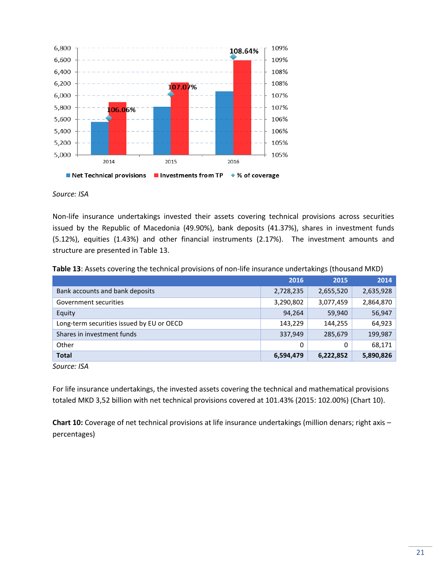

Non-life insurance undertakings invested their assets covering technical provisions across securities issued by the Republic of Macedonia (49.90%), bank deposits (41.37%), shares in investment funds (5.12%), equities (1.43%) and other financial instruments (2.17%). The investment amounts and structure are presented in Table 13.

|  | Table 13: Assets covering the technical provisions of non-life insurance undertakings (thousand MKD) |
|--|------------------------------------------------------------------------------------------------------|
|--|------------------------------------------------------------------------------------------------------|

| 2016      | 2015      | 2014      |
|-----------|-----------|-----------|
| 2,728,235 | 2,655,520 | 2,635,928 |
| 3,290,802 | 3,077,459 | 2,864,870 |
| 94,264    | 59,940    | 56,947    |
| 143,229   | 144,255   | 64,923    |
| 337,949   | 285,679   | 199,987   |
| 0         | 0         | 68,171    |
| 6,594,479 | 6,222,852 | 5,890,826 |
|           |           |           |

*Source: ISA*

For life insurance undertakings, the invested assets covering the technical and mathematical provisions totaled MKD 3,52 billion with net technical provisions covered at 101.43% (2015: 102.00%) (Chart 10).

**Chart 10:** Coverage of net technical provisions at life insurance undertakings (million denars; right axis – percentages)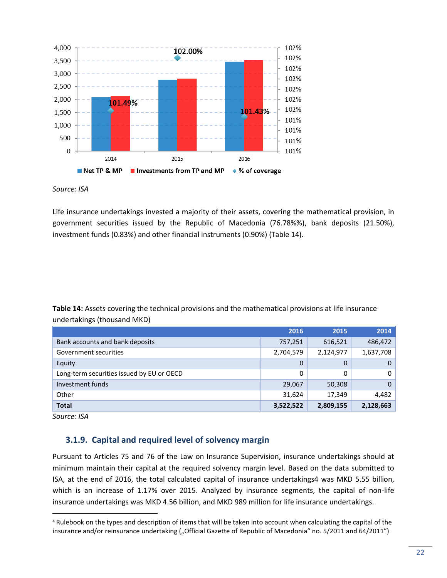

Life insurance undertakings invested a majority of their assets, covering the mathematical provision, in government securities issued by the Republic of Macedonia (76.78%%), bank deposits (21.50%), investment funds (0.83%) and other financial instruments (0.90%) [\(Table 1](#page-21-1)4).

<span id="page-21-1"></span>**Table 14:** Assets covering the technical provisions and the mathematical provisions at life insurance undertakings (thousand MKD)

|                                           | 2016      | 2015      | 2014      |
|-------------------------------------------|-----------|-----------|-----------|
| Bank accounts and bank deposits           | 757,251   | 616,521   | 486,472   |
| Government securities                     | 2,704,579 | 2,124,977 | 1,637,708 |
| Equity                                    | 0         | 0         | 0         |
| Long-term securities issued by EU or OECD | 0         | 0         | 0         |
| Investment funds                          | 29,067    | 50,308    | $\Omega$  |
| Other                                     | 31,624    | 17,349    | 4,482     |
| <b>Total</b>                              | 3,522,522 | 2,809,155 | 2,128,663 |

*Source: ISA*

 $\overline{a}$ 

## <span id="page-21-0"></span>**3.1.9. Capital and required level of solvency margin**

Pursuant to Articles 75 and 76 of the Law on Insurance Supervision, insurance undertakings should at minimum maintain their capital at the required solvency margin level. Based on the data submitted to ISA, at the end of 2016, the total calculated capital of insurance undertakings4 was MKD 5.55 billion, which is an increase of 1.17% over 2015. Analyzed by insurance segments, the capital of non-life insurance undertakings was MKD 4.56 billion, and MKD 989 million for life insurance undertakings.

<sup>4</sup> Rulebook on the types and description of items that will be taken into account when calculating the capital of the insurance and/or reinsurance undertaking ("Official Gazette of Republic of Macedonia" no. 5/2011 and 64/2011")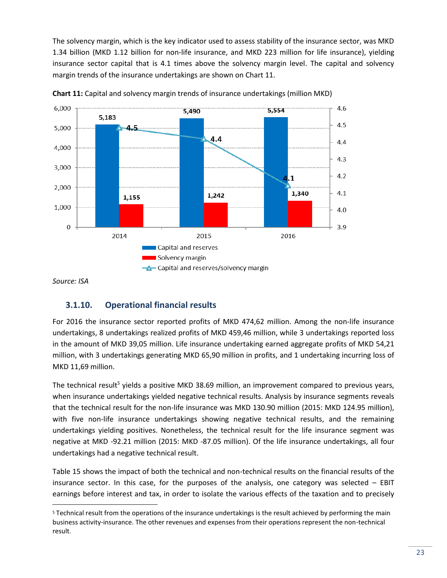The solvency margin, which is the key indicator used to assess stability of the insurance sector, was MKD 1.34 billion (MKD 1.12 billion for non-life insurance, and MKD 223 million for life insurance), yielding insurance sector capital that is 4.1 times above the solvency margin level. The capital and solvency margin trends of the insurance undertakings are shown on Chart 11.





*Source: ISA*

 $\overline{\phantom{a}}$ 

## <span id="page-22-0"></span>**3.1.10. Operational financial results**

For 2016 the insurance sector reported profits of MKD 474,62 million. Among the non-life insurance undertakings, 8 undertakings realized profits of MKD 459,46 million, while 3 undertakings reported loss in the amount of MKD 39,05 million. Life insurance undertaking earned aggregate profits of MKD 54,21 million, with 3 undertakings generating MKD 65,90 million in profits, and 1 undertaking incurring loss of MKD 11,69 million.

The technical result<sup>5</sup> yields a positive MKD 38.69 million, an improvement compared to previous years, when insurance undertakings yielded negative technical results. Analysis by insurance segments reveals that the technical result for the non-life insurance was MKD 130.90 million (2015: MKD 124.95 million), with five non-life insurance undertakings showing negative technical results, and the remaining undertakings yielding positives. Nonetheless, the technical result for the life insurance segment was negative at MKD -92.21 million (2015: MKD -87.05 million). Of the life insurance undertakings, all four undertakings had a negative technical result.

Table 15 shows the impact of both the technical and non-technical results on the financial results of the insurance sector. In this case, for the purposes of the analysis, one category was selected – EBIT earnings before interest and tax, in order to isolate the various effects of the taxation and to precisely

<sup>5</sup> Technical result from the operations of the insurance undertakings is the result achieved by performing the main business activity-insurance. The other revenues and expenses from their operations represent the non-technical result.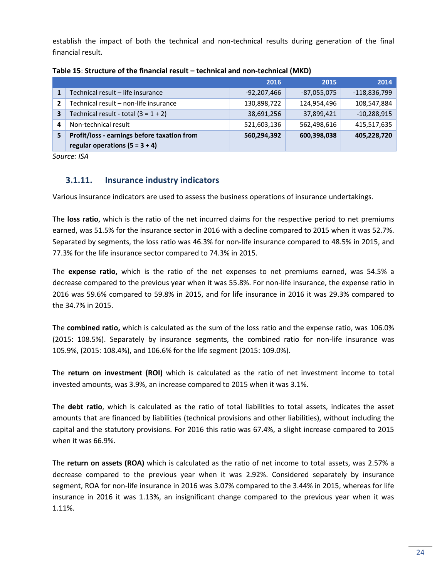establish the impact of both the technical and non-technical results during generation of the final financial result.

|   |                                             | 2016        | 2015          | 2014           |
|---|---------------------------------------------|-------------|---------------|----------------|
|   | Technical result - life insurance           | -92,207,466 | $-87,055,075$ | $-118,836,799$ |
| 2 | Technical result - non-life insurance       | 130,898,722 | 124,954,496   | 108,547,884    |
| 3 | Technical result - total $(3 = 1 + 2)$      | 38,691,256  | 37,899,421    | $-10,288,915$  |
| 4 | Non-technical result                        | 521,603,136 | 562,498,616   | 415,517,635    |
| 5 | Profit/loss - earnings before taxation from | 560,294,392 | 600,398,038   | 405,228,720    |
|   | regular operations $(5 = 3 + 4)$            |             |               |                |

#### **Table 15**: **Structure of the financial result – technical and non-technical (MKD)**

*Source: ISA*

## <span id="page-23-0"></span>**3.1.11. Insurance industry indicators**

Various insurance indicators are used to assess the business operations of insurance undertakings.

The **loss ratio**, which is the ratio of the net incurred claims for the respective period to net premiums earned, was 51.5% for the insurance sector in 2016 with a decline compared to 2015 when it was 52.7%. Separated by segments, the loss ratio was 46.3% for non-life insurance compared to 48.5% in 2015, and 77.3% for the life insurance sector compared to 74.3% in 2015.

The **expense ratio,** which is the ratio of the net expenses to net premiums earned, was 54.5% a decrease compared to the previous year when it was 55.8%. For non-life insurance, the expense ratio in 2016 was 59.6% compared to 59.8% in 2015, and for life insurance in 2016 it was 29.3% compared to the 34.7% in 2015.

The **combined ratio,** which is calculated as the sum of the loss ratio and the expense ratio, was 106.0% (2015: 108.5%). Separately by insurance segments, the combined ratio for non-life insurance was 105.9%, (2015: 108.4%), and 106.6% for the life segment (2015: 109.0%).

The **return on investment (ROI)** which is calculated as the ratio of net investment income to total invested amounts, was 3.9%, an increase compared to 2015 when it was 3.1%.

The **debt ratio**, which is calculated as the ratio of total liabilities to total assets, indicates the asset amounts that are financed by liabilities (technical provisions and other liabilities), without including the capital and the statutory provisions. For 2016 this ratio was 67.4%, a slight increase compared to 2015 when it was 66.9%.

The **return on assets (ROA)** which is calculated as the ratio of net income to total assets, was 2.57% a decrease compared to the previous year when it was 2.92%. Considered separately by insurance segment, ROA for non-life insurance in 2016 was 3.07% compared to the 3.44% in 2015, whereas for life insurance in 2016 it was 1.13%, an insignificant change compared to the previous year when it was 1.11%.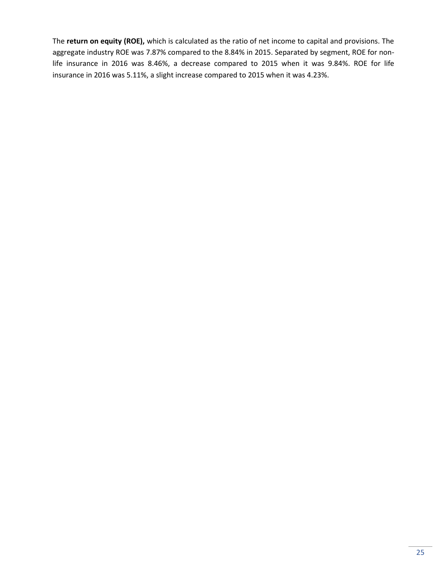The **return on equity (ROE),** which is calculated as the ratio of net income to capital and provisions. The aggregate industry ROE was 7.87% compared to the 8.84% in 2015. Separated by segment, ROE for nonlife insurance in 2016 was 8.46%, a decrease compared to 2015 when it was 9.84%. ROE for life insurance in 2016 was 5.11%, a slight increase compared to 2015 when it was 4.23%.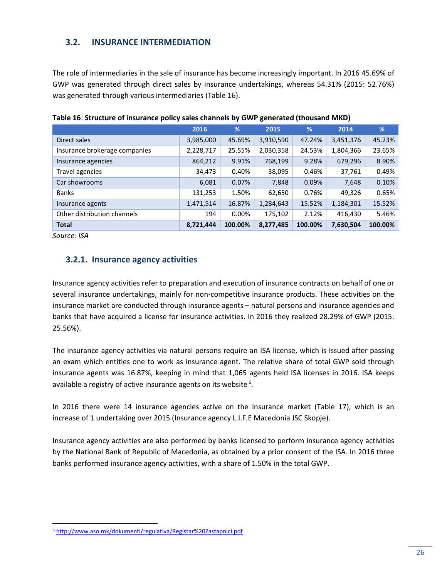## <span id="page-25-0"></span>**3.2. INSURANCE INTERMEDIATION**

The role of intermediaries in the sale of insurance has become increasingly important. In 2016 45.69% of GWP was generated through direct sales by insurance undertakings, whereas 54.31% (2015: 52.76%) was generated through various intermediaries (Table 16).

|                               | 2016      | %        | 2015      | %       | 2014      | %       |
|-------------------------------|-----------|----------|-----------|---------|-----------|---------|
| Direct sales                  | 3,985,000 | 45.69%   | 3,910,590 | 47.24%  | 3,451,376 | 45.23%  |
| Insurance brokerage companies | 2,228,717 | 25.55%   | 2,030,358 | 24.53%  | 1,804,366 | 23.65%  |
| Insurance agencies            | 864,212   | 9.91%    | 768,199   | 9.28%   | 679,296   | 8.90%   |
| Travel agencies               | 34,473    | 0.40%    | 38,095    | 0.46%   | 37,761    | 0.49%   |
| Car showrooms                 | 6,081     | 0.07%    | 7,848     | 0.09%   | 7,648     | 0.10%   |
| <b>Banks</b>                  | 131,253   | 1.50%    | 62,650    | 0.76%   | 49,326    | 0.65%   |
| Insurance agents              | 1,471,514 | 16.87%   | 1,284,643 | 15.52%  | 1,184,301 | 15.52%  |
| Other distribution channels   | 194       | $0.00\%$ | 175,102   | 2.12%   | 416,430   | 5.46%   |
| <b>Total</b>                  | 8,721,444 | 100.00%  | 8,277,485 | 100.00% | 7,630,504 | 100.00% |

**Table 16**: **Structure of insurance policy sales channels by GWP generated (thousand MKD)**

*Source: ISA*

 $\overline{a}$ 

## <span id="page-25-1"></span>**3.2.1. Insurance agency activities**

Insurance agency activities refer to preparation and execution of insurance contracts on behalf of one or several insurance undertakings, mainly for non-competitive insurance products. These activities on the insurance market are conducted through insurance agents – natural persons and insurance agencies and banks that have acquired a license for insurance activities. In 2016 they realized 28.29% of GWP (2015: 25.56%).

The insurance agency activities via natural persons require an ISA license, which is issued after passing an exam which entitles one to work as insurance agent. The relative share of total GWP sold through insurance agents was 16.87%, keeping in mind that 1,065 agents held ISA licenses in 2016. ISA keeps available a registry of active insurance agents on its website  $6$ .

In 2016 there were 14 insurance agencies active on the insurance market (Table 17), which is an increase of 1 undertaking over 2015 (Insurance agency L.I.F.E Macedonia JSC Skopje).

Insurance agency activities are also performed by banks licensed to perform insurance agency activities by the National Bank of Republic of Macedonia, as obtained by a prior consent of the ISA. In 2016 three banks performed insurance agency activities, with a share of 1.50% in the total GWP.

<sup>6</sup> <http://www.aso.mk/dokumenti/regulativa/Registar%20Zastapnici.pdf>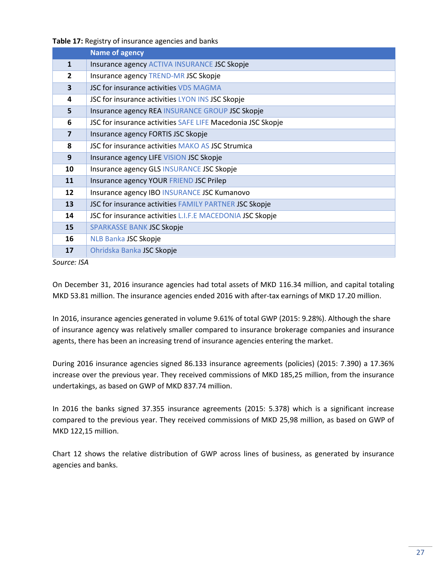**Table 17:** Registry of insurance agencies and banks

|                         | <b>Name of agency</b>                                       |
|-------------------------|-------------------------------------------------------------|
| $\mathbf{1}$            | Insurance agency ACTIVA INSURANCE JSC Skopje                |
| $\overline{2}$          | Insurance agency TREND-MR JSC Skopje                        |
| $\overline{\mathbf{3}}$ | JSC for insurance activities VDS MAGMA                      |
| 4                       | JSC for insurance activities LYON INS JSC Skopje            |
| 5                       | Insurance agency REA INSURANCE GROUP JSC Skopje             |
| 6                       | JSC for insurance activities SAFE LIFE Macedonia JSC Skopje |
| $\overline{7}$          | Insurance agency FORTIS JSC Skopje                          |
| 8                       | JSC for insurance activities MAKO AS JSC Strumica           |
| 9                       | Insurance agency LIFE VISION JSC Skopje                     |
| 10                      | Insurance agency GLS INSURANCE JSC Skopje                   |
| 11                      | Insurance agency YOUR FRIEND JSC Prilep                     |
| 12                      | Insurance agency IBO INSURANCE JSC Kumanovo                 |
| 13                      | JSC for insurance activities FAMILY PARTNER JSC Skopje      |
| 14                      | JSC for insurance activities L.I.F.E MACEDONIA JSC Skopje   |
| 15                      | SPARKASSE BANK JSC Skopje                                   |
| 16                      | NLB Banka JSC Skopje                                        |
| 17                      | Ohridska Banka JSC Skopje                                   |

On December 31, 2016 insurance agencies had total assets of MKD 116.34 million, and capital totaling MKD 53.81 million. The insurance agencies ended 2016 with after-tax earnings of MKD 17.20 million.

In 2016, insurance agencies generated in volume 9.61% of total GWP (2015: 9.28%). Although the share of insurance agency was relatively smaller compared to insurance brokerage companies and insurance agents, there has been an increasing trend of insurance agencies entering the market.

During 2016 insurance agencies signed 86.133 insurance agreements (policies) (2015: 7.390) a 17.36% increase over the previous year. They received commissions of MKD 185,25 million, from the insurance undertakings, as based on GWP of MKD 837.74 million.

In 2016 the banks signed 37.355 insurance agreements (2015: 5.378) which is a significant increase compared to the previous year. They received commissions of MKD 25,98 million, as based on GWP of MKD 122,15 million.

Chart 12 shows the relative distribution of GWP across lines of business, as generated by insurance agencies and banks.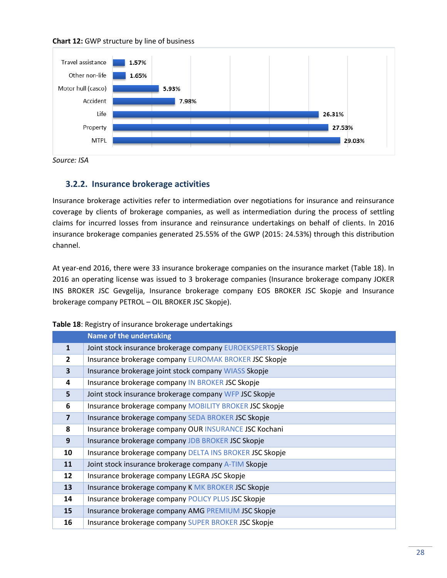



*Source: ISA*

### <span id="page-27-0"></span>**3.2.2. Insurance brokerage activities**

Insurance brokerage activities refer to intermediation over negotiations for insurance and reinsurance coverage by clients of brokerage companies, as well as intermediation during the process of settling claims for incurred losses from insurance and reinsurance undertakings on behalf of clients. In 2016 insurance brokerage companies generated 25.55% of the GWP (2015: 24.53%) through this distribution channel.

At year-end 2016, there were 33 insurance brokerage companies on the insurance market (Table 18). In 2016 an operating license was issued to 3 brokerage companies (Insurance brokerage company JOKER INS BROKER JSC Gevgelija, Insurance brokerage company EOS BROKER JSC Skopje and Insurance brokerage company PETROL – OIL BROKER JSC Skopje).

| Table 18: Registry of insurance brokerage undertakings |  |  |
|--------------------------------------------------------|--|--|
|--------------------------------------------------------|--|--|

|                | <b>Name of the undertaking</b>                              |
|----------------|-------------------------------------------------------------|
| $\mathbf{1}$   | Joint stock insurance brokerage company EUROEKSPERTS Skopje |
| $\overline{2}$ | Insurance brokerage company EUROMAK BROKER JSC Skopje       |
| 3              | Insurance brokerage joint stock company WIASS Skopje        |
| 4              | Insurance brokerage company IN BROKER JSC Skopje            |
| 5              | Joint stock insurance brokerage company WFP JSC Skopje      |
| 6              | Insurance brokerage company MOBILITY BROKER JSC Skopje      |
| $\overline{7}$ | Insurance brokerage company SEDA BROKER JSC Skopje          |
| 8              | Insurance brokerage company OUR INSURANCE JSC Kochani       |
| 9              | Insurance brokerage company JDB BROKER JSC Skopje           |
| 10             | Insurance brokerage company DELTA INS BROKER JSC Skopje     |
| 11             | Joint stock insurance brokerage company A-TIM Skopje        |
| 12             | Insurance brokerage company LEGRA JSC Skopje                |
| 13             | Insurance brokerage company K MK BROKER JSC Skopje          |
| 14             | Insurance brokerage company POLICY PLUS JSC Skopje          |
| 15             | Insurance brokerage company AMG PREMIUM JSC Skopje          |
| 16             | Insurance brokerage company SUPER BROKER JSC Skopje         |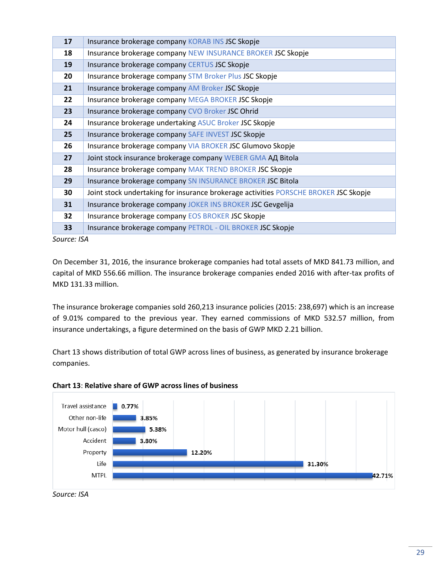| 17 | Insurance brokerage company KORAB INS JSC Skopje                                     |
|----|--------------------------------------------------------------------------------------|
| 18 | Insurance brokerage company NEW INSURANCE BROKER JSC Skopje                          |
| 19 | Insurance brokerage company CERTUS JSC Skopje                                        |
| 20 | Insurance brokerage company STM Broker Plus JSC Skopje                               |
| 21 | Insurance brokerage company AM Broker JSC Skopje                                     |
| 22 | Insurance brokerage company MEGA BROKER JSC Skopje                                   |
| 23 | Insurance brokerage company CVO Broker JSC Ohrid                                     |
| 24 | Insurance brokerage undertaking ASUC Broker JSC Skopje                               |
| 25 | Insurance brokerage company SAFE INVEST JSC Skopje                                   |
| 26 | Insurance brokerage company VIA BROKER JSC Glumovo Skopje                            |
| 27 | Joint stock insurance brokerage company WEBER GMA A A Bitola                         |
| 28 | Insurance brokerage company MAK TREND BROKER JSC Skopje                              |
| 29 | Insurance brokerage company SN INSURANCE BROKER JSC Bitola                           |
| 30 | Joint stock undertaking for insurance brokerage activities PORSCHE BROKER JSC Skopje |
| 31 | Insurance brokerage company JOKER INS BROKER JSC Gevgelija                           |
| 32 | Insurance brokerage company EOS BROKER JSC Skopje                                    |
| 33 | Insurance brokerage company PETROL - OIL BROKER JSC Skopje                           |

On December 31, 2016, the insurance brokerage companies had total assets of MKD 841.73 million, and capital of MKD 556.66 million. The insurance brokerage companies ended 2016 with after-tax profits of MKD 131.33 million.

The insurance brokerage companies sold 260,213 insurance policies (2015: 238,697) which is an increase of 9.01% compared to the previous year. They earned commissions of MKD 532.57 million, from insurance undertakings, a figure determined on the basis of GWP MKD 2.21 billion.

Chart 13 shows distribution of total GWP across lines of business, as generated by insurance brokerage companies.



#### **Chart 13**: **Relative share of GWP across lines of business**

*Source: ISA*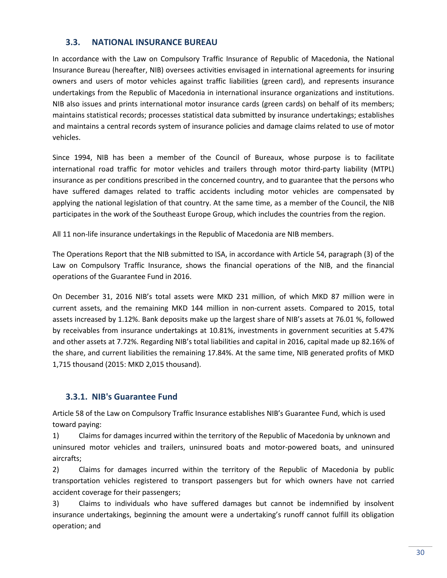## <span id="page-29-0"></span>**3.3. NATIONAL INSURANCE BUREAU**

In accordance with the Law on Compulsory Traffic Insurance of Republic of Macedonia, the National Insurance Bureau (hereafter, NIB) oversees activities envisaged in international agreements for insuring owners and users of motor vehicles against traffic liabilities (green card), and represents insurance undertakings from the Republic of Macedonia in international insurance organizations and institutions. NIB also issues and prints international motor insurance cards (green cards) on behalf of its members; maintains statistical records; processes statistical data submitted by insurance undertakings; establishes and maintains a central records system of insurance policies and damage claims related to use of motor vehicles.

Since 1994, NIB has been a member of the Council of Bureaux, whose purpose is to facilitate international road traffic for motor vehicles and trailers through motor third-party liability (MTPL) insurance as per conditions prescribed in the concerned country, and to guarantee that the persons who have suffered damages related to traffic accidents including motor vehicles are compensated by applying the national legislation of that country. At the same time, as a member of the Council, the NIB participates in the work of the Southeast Europe Group, which includes the countries from the region.

All 11 non-life insurance undertakings in the Republic of Macedonia are NIB members.

The Operations Report that the NIB submitted to ISA, in accordance with Article 54, paragraph (3) of the Law on Compulsory Traffic Insurance, shows the financial operations of the NIB, and the financial operations of the Guarantee Fund in 2016.

On December 31, 2016 NIB's total assets were MKD 231 million, of which MKD 87 million were in current assets, and the remaining MKD 144 million in non-current assets. Compared to 2015, total assets increased by 1.12%. Bank deposits make up the largest share of NIB's assets at 76.01 %, followed by receivables from insurance undertakings at 10.81%, investments in government securities at 5.47% and other assets at 7.72%. Regarding NIB's total liabilities and capital in 2016, capital made up 82.16% of the share, and current liabilities the remaining 17.84%. At the same time, NIB generated profits of MKD 1,715 thousand (2015: MKD 2,015 thousand).

## <span id="page-29-1"></span>**3.3.1. NIB's Guarantee Fund**

Article 58 of the Law on Compulsory Traffic Insurance establishes NIB's Guarantee Fund, which is used toward paying:

1) Claims for damages incurred within the territory of the Republic of Macedonia by unknown and uninsured motor vehicles and trailers, uninsured boats and motor-powered boats, and uninsured aircrafts;

2) Claims for damages incurred within the territory of the Republic of Macedonia by public transportation vehicles registered to transport passengers but for which owners have not carried accident coverage for their passengers;

3) Claims to individuals who have suffered damages but cannot be indemnified by insolvent insurance undertakings, beginning the amount were a undertaking's runoff cannot fulfill its obligation operation; and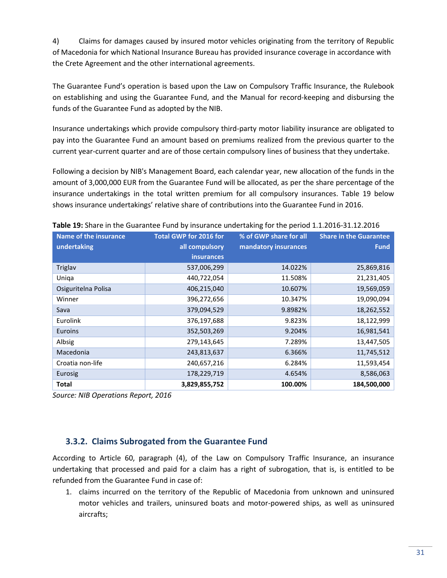4) Claims for damages caused by insured motor vehicles originating from the territory of Republic of Macedonia for which National Insurance Bureau has provided insurance coverage in accordance with the Crete Agreement and the other international agreements.

The Guarantee Fund's operation is based upon the Law on Compulsory Traffic Insurance, the Rulebook on establishing and using the Guarantee Fund, and the Manual for record-keeping and disbursing the funds of the Guarantee Fund as adopted by the NIB.

Insurance undertakings which provide compulsory third-party motor liability insurance are obligated to pay into the Guarantee Fund an amount based on premiums realized from the previous quarter to the current year-current quarter and are of those certain compulsory lines of business that they undertake.

Following a decision by NIB's Management Board, each calendar year, new allocation of the funds in the amount of 3,000,000 EUR from the Guarantee Fund will be allocated, as per the share percentage of the insurance undertakings in the total written premium for all compulsory insurances. Table 19 below shows insurance undertakings' relative share of contributions into the Guarantee Fund in 2016.

| <b>Name of the insurance</b> | <b>Total GWP for 2016 for</b> | % of GWP share for all | <b>Share in the Guarantee</b> |
|------------------------------|-------------------------------|------------------------|-------------------------------|
| undertaking                  | all compulsory                | mandatory insurances   | <b>Fund</b>                   |
|                              | <b>insurances</b>             |                        |                               |
| <b>Triglav</b>               | 537,006,299                   | 14.022%                | 25,869,816                    |
| Uniqa                        | 440,722,054                   | 11.508%                | 21,231,405                    |
| Osiguritelna Polisa          | 406,215,040                   | 10.607%                | 19,569,059                    |
| Winner                       | 396,272,656                   | 10.347%                | 19,090,094                    |
| Sava                         | 379,094,529                   | 9.8982%                | 18,262,552                    |
| Eurolink                     | 376,197,688                   | 9.823%                 | 18,122,999                    |
| Euroins                      | 352,503,269                   | 9.204%                 | 16,981,541                    |
| Albsig                       | 279,143,645                   | 7.289%                 | 13,447,505                    |
| Macedonia                    | 243,813,637                   | 6.366%                 | 11,745,512                    |
| Croatia non-life             | 240,657,216                   | 6.284%                 | 11,593,454                    |
| Eurosig                      | 178,229,719                   | 4.654%                 | 8,586,063                     |
| <b>Total</b>                 | 3,829,855,752                 | 100.00%                | 184,500,000                   |

**Table 19:** Share in the Guarantee Fund by insurance undertaking for the period 1.1.2016-31.12.2016

*Source: NIB Operations Report, 2016*

## <span id="page-30-0"></span>**3.3.2. Claims Subrogated from the Guarantee Fund**

According to Article 60, paragraph (4), of the Law on Compulsory Traffic Insurance, an insurance undertaking that processed and paid for a claim has a right of subrogation, that is, is entitled to be refunded from the Guarantee Fund in case of:

1. claims incurred on the territory of the Republic of Macedonia from unknown and uninsured motor vehicles and trailers, uninsured boats and motor-powered ships, as well as uninsured aircrafts;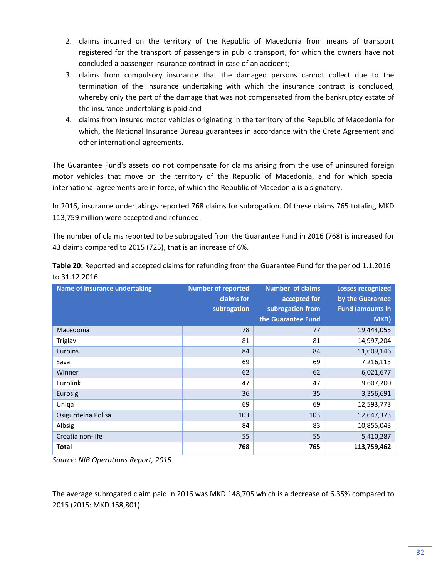- 2. claims incurred on the territory of the Republic of Macedonia from means of transport registered for the transport of passengers in public transport, for which the owners have not concluded a passenger insurance contract in case of an accident;
- 3. claims from compulsory insurance that the damaged persons cannot collect due to the termination of the insurance undertaking with which the insurance contract is concluded, whereby only the part of the damage that was not compensated from the bankruptcy estate of the insurance undertaking is paid and
- 4. claims from insured motor vehicles originating in the territory of the Republic of Macedonia for which, the National Insurance Bureau guarantees in accordance with the Crete Agreement and other international agreements.

The Guarantee Fund's assets do not compensate for claims arising from the use of uninsured foreign motor vehicles that move on the territory of the Republic of Macedonia, and for which special international agreements are in force, of which the Republic of Macedonia is a signatory.

In 2016, insurance undertakings reported 768 claims for subrogation. Of these claims 765 totaling MKD 113,759 million were accepted and refunded.

The number of claims reported to be subrogated from the Guarantee Fund in 2016 (768) is increased for 43 claims compared to 2015 (725), that is an increase of 6%.

**Table 20:** Reported and accepted claims for refunding from the Guarantee Fund for the period 1.1.2016 to 31.12.2016

| Name of insurance undertaking | <b>Number of reported</b><br>claims for<br>subrogation | <b>Number of claims</b><br>accepted for<br>subrogation from | <b>Losses recognized</b><br>by the Guarantee<br><b>Fund (amounts in</b> |
|-------------------------------|--------------------------------------------------------|-------------------------------------------------------------|-------------------------------------------------------------------------|
|                               |                                                        | the Guarantee Fund                                          | MKD)                                                                    |
| Macedonia                     | 78                                                     | 77                                                          | 19,444,055                                                              |
| Triglav                       | 81                                                     | 81                                                          | 14,997,204                                                              |
| Euroins                       | 84                                                     | 84                                                          | 11,609,146                                                              |
| Sava                          | 69                                                     | 69                                                          | 7,216,113                                                               |
| Winner                        | 62                                                     | 62                                                          | 6,021,677                                                               |
| Eurolink                      | 47                                                     | 47                                                          | 9,607,200                                                               |
| Eurosig                       | 36                                                     | 35                                                          | 3,356,691                                                               |
| Uniqa                         | 69                                                     | 69                                                          | 12,593,773                                                              |
| Osiguritelna Polisa           | 103                                                    | 103                                                         | 12,647,373                                                              |
| Albsig                        | 84                                                     | 83                                                          | 10,855,043                                                              |
| Croatia non-life              | 55                                                     | 55                                                          | 5,410,287                                                               |
| <b>Total</b>                  | 768                                                    | 765                                                         | 113,759,462                                                             |

*Source: NIB Operations Report, 2015*

The average subrogated claim paid in 2016 was MKD 148,705 which is a decrease of 6.35% compared to 2015 (2015: MKD 158,801).